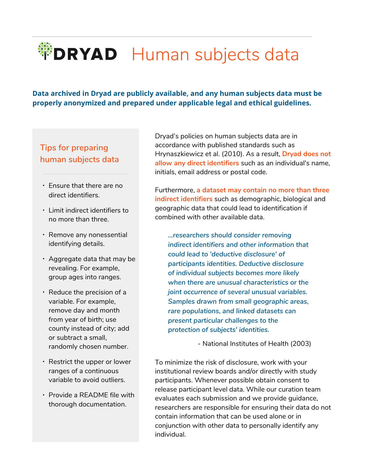**Data archived in Dryad are publicly available, and any human subjects data must be properly anonymized and prepared under applicable legal and ethical guidelines.**

### **Tips for preparing human subjects data**

▪ Ensure that there are no direct identifiers.

﹍﹍﹍﹍﹍﹍﹍﹍﹍﹍﹍﹍﹍﹍

- Limit indirect identifiers to no more than three.
- Remove any nonessential identifying details.
- $\cdot$  Aggregate data that may be revealing. For example, group ages into ranges.
- Reduce the precision of a variable. For example, remove day and month from year of birth; use county instead of city; add or subtract a small, randomly chosen number.
- Restrict the upper or lower ranges of a continuous variable to avoid outliers.
- Provide a README file with thorough documentation.

Dryad's policies on human subjects data are in accordance with published standards such as Hrynaszkiewicz et al. (2010). As a result, **Dryad does not allow any direct identifiers** such as an individual's name, initials, email address or postal code.

Furthermore, **a dataset may contain no more than three indirect identifiers** such as demographic, biological and geographic data that could lead to identification if combined with other available data.

*…researchers should consider removing indirect identifiers and other information that could lead to 'deductive disclosure' of participants identities. Deductive disclosure of individual subjects becomes more likely when there are unusual characteristics or the joint occurrence of several unusual variables. Samples drawn from small geographic areas, rare populations, and linked datasets can present particular challenges to the protection of subjects' identities.*

- National Institutes of Health (2003)

To minimize the risk of disclosure, work with your institutional review boards and/or directly with study participants. Whenever possible obtain consent to release participant level data. While our curation team evaluates each submission and we provide guidance, researchers are responsible for ensuring their data do not contain information that can be used alone or in conjunction with other data to personally identify any individual.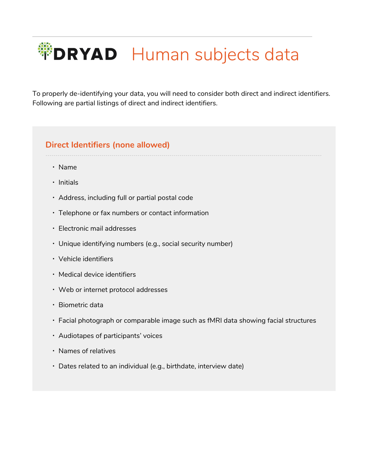To properly de-identifying your data, you will need to consider both direct and indirect identifiers. Following are partial listings of direct and indirect identifiers.

#### **Direct Identifiers (none allowed)**

- ﹍﹍﹍﹍﹍﹍﹍﹍﹍﹍﹍﹍﹍﹍﹍﹍﹍﹍﹍﹍﹍﹍﹍﹍﹍﹍﹍﹍﹍﹍﹍﹍﹍﹍﹍﹍﹍﹍﹍﹍﹍﹍﹍﹍﹍﹍
	- Name
	- Initials
	- Address, including full or partial postal code
	- Telephone or fax numbers or contact information
	- Electronic mail addresses
	- Unique identifying numbers (e.g., social security number)
	- Vehicle identifiers
	- Medical device identifiers
	- Web or internet protocol addresses
	- Biometric data
	- Facial photograph or comparable image such as fMRI data showing facial structures
	- Audiotapes of participants' voices
	- Names of relatives
	- Dates related to an individual (e.g., birthdate, interview date)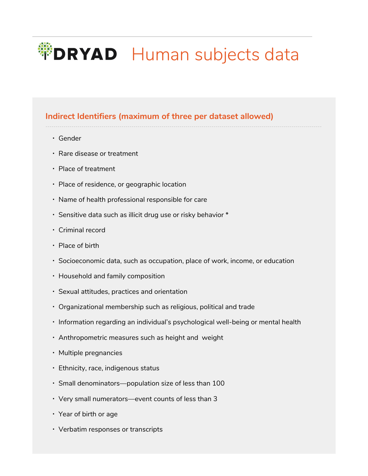### **Indirect Identifiers (maximum of three per dataset allowed)**

﹍﹍﹍﹍﹍﹍﹍﹍﹍﹍﹍﹍﹍﹍﹍﹍﹍﹍﹍﹍﹍﹍﹍﹍﹍﹍﹍﹍﹍﹍﹍﹍﹍﹍﹍﹍﹍﹍﹍﹍﹍﹍﹍﹍﹍﹍

- Gender
- Rare disease or treatment
- Place of treatment
- Place of residence, or geographic location
- Name of health professional responsible for care
- Sensitive data such as illicit drug use or risky behavior \*
- Criminal record
- Place of birth
- Socioeconomic data, such as occupation, place of work, income, or education
- Household and family composition
- Sexual attitudes, practices and orientation
- Organizational membership such as religious, political and trade
- Information regarding an individual's psychological well-being or mental health
- **Anthropometric measures such as height and weight**
- Multiple pregnancies
- Ethnicity, race, indigenous status
- Small denominators—population size of less than 100
- Very small numerators—event counts of less than 3
- Year of birth or age
- Verbatim responses or transcripts